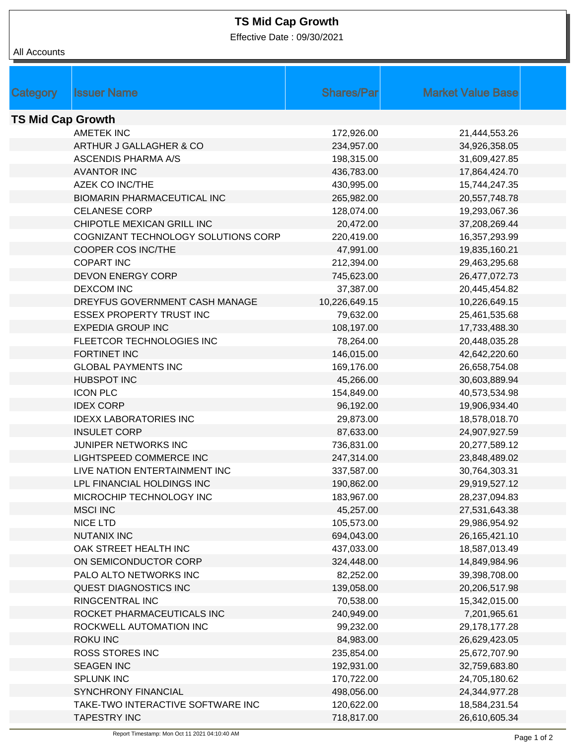## **TS Mid Cap Growth**

Effective Date : 09/30/2021

| All Accounts             |                                     |                    |                          |  |  |
|--------------------------|-------------------------------------|--------------------|--------------------------|--|--|
|                          |                                     |                    |                          |  |  |
|                          |                                     |                    |                          |  |  |
| Category                 | <b>Issuer Name</b>                  | <b>Shares/Parl</b> | <b>Market Value Base</b> |  |  |
|                          |                                     |                    |                          |  |  |
| <b>TS Mid Cap Growth</b> |                                     |                    |                          |  |  |
|                          | <b>AMETEK INC</b>                   | 172,926.00         | 21,444,553.26            |  |  |
|                          | ARTHUR J GALLAGHER & CO             | 234,957.00         | 34,926,358.05            |  |  |
|                          | <b>ASCENDIS PHARMA A/S</b>          | 198,315.00         | 31,609,427.85            |  |  |
|                          | <b>AVANTOR INC</b>                  | 436,783.00         | 17,864,424.70            |  |  |
|                          | <b>AZEK CO INC/THE</b>              | 430,995.00         | 15,744,247.35            |  |  |
|                          | <b>BIOMARIN PHARMACEUTICAL INC</b>  | 265,982.00         | 20,557,748.78            |  |  |
|                          | <b>CELANESE CORP</b>                | 128,074.00         | 19,293,067.36            |  |  |
|                          | CHIPOTLE MEXICAN GRILL INC          | 20,472.00          | 37,208,269.44            |  |  |
|                          | COGNIZANT TECHNOLOGY SOLUTIONS CORP | 220,419.00         | 16,357,293.99            |  |  |
|                          | COOPER COS INC/THE                  | 47,991.00          | 19,835,160.21            |  |  |
|                          | <b>COPART INC</b>                   | 212,394.00         | 29,463,295.68            |  |  |
|                          | <b>DEVON ENERGY CORP</b>            | 745,623.00         | 26,477,072.73            |  |  |
|                          | <b>DEXCOM INC</b>                   | 37,387.00          | 20,445,454.82            |  |  |
|                          | DREYFUS GOVERNMENT CASH MANAGE      | 10,226,649.15      | 10,226,649.15            |  |  |
|                          | <b>ESSEX PROPERTY TRUST INC</b>     | 79,632.00          | 25,461,535.68            |  |  |
|                          | <b>EXPEDIA GROUP INC</b>            | 108,197.00         | 17,733,488.30            |  |  |
|                          | FLEETCOR TECHNOLOGIES INC           | 78,264.00          | 20,448,035.28            |  |  |
|                          | FORTINET INC                        | 146,015.00         | 42,642,220.60            |  |  |
|                          | <b>GLOBAL PAYMENTS INC</b>          | 169,176.00         | 26,658,754.08            |  |  |
|                          | <b>HUBSPOT INC</b>                  | 45,266.00          | 30,603,889.94            |  |  |
|                          | <b>ICON PLC</b>                     | 154,849.00         | 40,573,534.98            |  |  |
|                          | <b>IDEX CORP</b>                    | 96,192.00          | 19,906,934.40            |  |  |
|                          | <b>IDEXX LABORATORIES INC</b>       | 29,873.00          | 18,578,018.70            |  |  |
|                          | <b>INSULET CORP</b>                 | 87,633.00          | 24,907,927.59            |  |  |
|                          | JUNIPER NETWORKS INC                | 736,831.00         | 20,277,589.12            |  |  |
|                          | LIGHTSPEED COMMERCE INC             | 247,314.00         | 23,848,489.02            |  |  |
|                          | LIVE NATION ENTERTAINMENT INC       | 337,587.00         | 30,764,303.31            |  |  |
|                          | LPL FINANCIAL HOLDINGS INC          | 190,862.00         | 29,919,527.12            |  |  |
|                          | MICROCHIP TECHNOLOGY INC            | 183,967.00         | 28,237,094.83            |  |  |
|                          | <b>MSCI INC</b>                     | 45,257.00          | 27,531,643.38            |  |  |
|                          | NICE LTD                            | 105,573.00         | 29,986,954.92            |  |  |
|                          | <b>NUTANIX INC</b>                  | 694,043.00         | 26, 165, 421. 10         |  |  |
|                          | OAK STREET HEALTH INC               | 437,033.00         | 18,587,013.49            |  |  |
|                          | ON SEMICONDUCTOR CORP               | 324,448.00         | 14,849,984.96            |  |  |
|                          | PALO ALTO NETWORKS INC              | 82,252.00          | 39,398,708.00            |  |  |
|                          | <b>QUEST DIAGNOSTICS INC</b>        | 139,058.00         | 20,206,517.98            |  |  |
|                          | RINGCENTRAL INC                     | 70,538.00          | 15,342,015.00            |  |  |
|                          | ROCKET PHARMACEUTICALS INC          | 240,949.00         | 7,201,965.61             |  |  |
|                          | ROCKWELL AUTOMATION INC             | 99,232.00          | 29,178,177.28            |  |  |
|                          | <b>ROKU INC</b>                     | 84,983.00          | 26,629,423.05            |  |  |
|                          | ROSS STORES INC                     | 235,854.00         | 25,672,707.90            |  |  |
|                          | <b>SEAGEN INC</b>                   | 192,931.00         | 32,759,683.80            |  |  |
|                          | <b>SPLUNK INC</b>                   | 170,722.00         | 24,705,180.62            |  |  |
|                          | <b>SYNCHRONY FINANCIAL</b>          | 498,056.00         | 24,344,977.28            |  |  |
|                          | TAKE-TWO INTERACTIVE SOFTWARE INC   | 120,622.00         | 18,584,231.54            |  |  |
|                          | <b>TAPESTRY INC</b>                 | 718,817.00         | 26,610,605.34            |  |  |